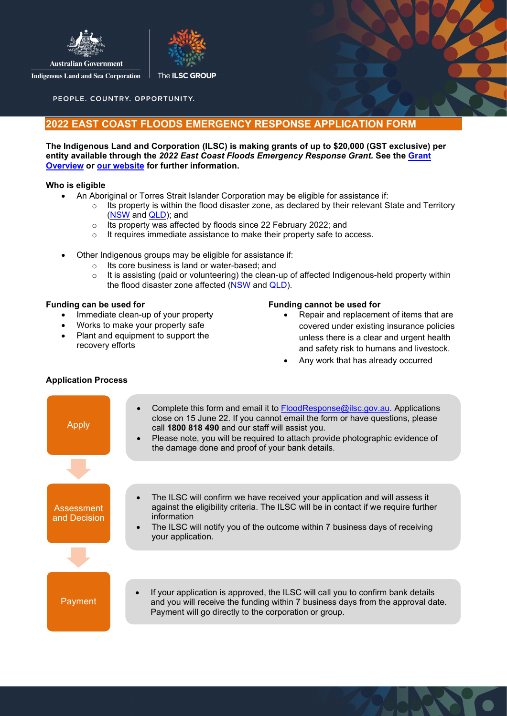



**Indigenous Land and Sea Corporation** 

PEOPLE. COUNTRY. OPPORTUNITY.

### **2022 EAST COAST FLOODS EMERGENCY RESPONSE APPLICATION FORM**

#### **The Indigenous Land and Corporation (ILSC) is making grants of up to \$20,000 (GST exclusive) per entity available through the** *2022 East Coast Floods Emergency Response Grant.* **See the [Grant](http://www.ilsc.gov.au/wp-content/uploads/2022/03/Overview-2022-Floods-Emergency-Response-Grants.pdf)  [Overview](http://www.ilsc.gov.au/wp-content/uploads/2022/03/Overview-2022-Floods-Emergency-Response-Grants.pdf) or [our website](https://www.ilsc.gov.au/) for further information.**

#### **Who is eligible**

- An Aboriginal or Torres Strait Islander Corporation may be eligible for assistance if:
	- $\circ$  Its property is within the flood disaster zone, as declared by their relevant State and Territory [\(NSW](https://www.nsw.gov.au/disaster-recovery/natural-disaster-declarations) and [QLD\)](https://www.qld.gov.au/community/disasters-emergencies/disasters/money-finance/eligibility-apply/seq-flooding-february-2022); and
	- o Its property was affected by floods since 22 February 2022; and
	- o It requires immediate assistance to make their property safe to access.
- Other Indigenous groups may be eligible for assistance if:
	- o Its core business is land or water-based; and  $\circ$  It is assisting (paid or volunteering) the clean-
	- It is assisting (paid or volunteering) the clean-up of affected Indigenous-held property within the flood disaster zone affected [\(NSW](https://www.nsw.gov.au/disaster-recovery/natural-disaster-declarations) and [QLD\)](https://www.qld.gov.au/community/disasters-emergencies/disasters/money-finance/eligibility-apply/seq-flooding-february-2022).

#### **Funding can be used for**

- Immediate clean-up of your property
- Works to make your property safe
- Plant and equipment to support the recovery efforts

#### **Funding cannot be used for**

- Repair and replacement of items that are covered under existing insurance policies unless there is a clear and urgent health and safety risk to humans and livestock.
- Any work that has already occurred

# Apply **Assessment** and Decision Payment The ILSC will confirm we have received your application and will assess it against the eligibility criteria. The ILSC will be in contact if we require further information The ILSC will notify you of the outcome within 7 business days of receiving your application. If your application is approved, the ILSC will call you to confirm bank details and you will receive the funding within 7 business days from the approval date. Payment will go directly to the corporation or group. Complete this form and email it to [FloodResponse@ilsc.gov.au.](mailto:FloodResponse@ilsc.gov.au) Applications close on 15 June 22. If you cannot email the form or have questions, please call **1800 818 490** and our staff will assist you. Please note, you will be required to attach provide photographic evidence of the damage done and proof of your bank details.

#### **Application Process**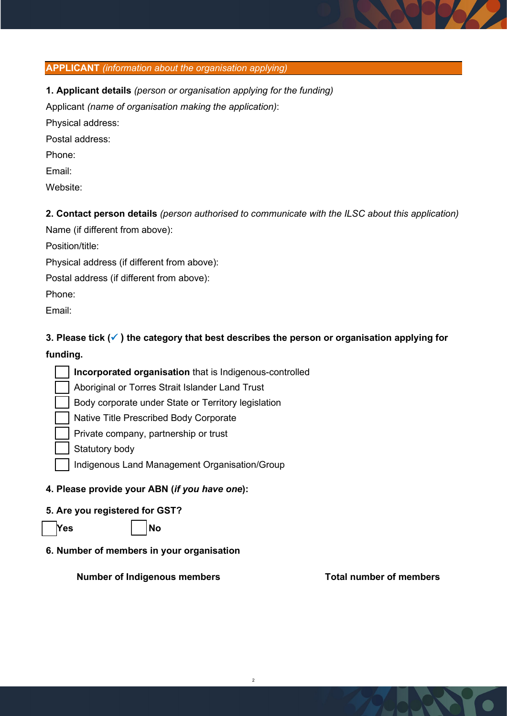

**1. Applicant details** *(person or organisation applying for the funding)*

Applicant *(name of organisation making the application)*:

Physical address:

Postal address:

Phone:

Email:

Website:

**2. Contact person details** *(person authorised to communicate with the ILSC about this application)*

Name (if different from above):

Position/title:

Physical address (if different from above):

Postal address (if different from above):

Phone:

Email:

**3. Please tick ( ) the category that best describes the person or organisation applying for funding.**

2

**Incorporated organisation** that is Indigenous-controlled

Aboriginal or Torres Strait Islander Land Trust

Body corporate under State or Territory legislation

Native Title Prescribed Body Corporate

Private company, partnership or trust

Statutory body

Indigenous Land Management Organisation/Group

# **4. Please provide your ABN (***if you have one***):**

# **5. Are you registered for GST?**

☐ **Yes** ☐ **No**

**6. Number of members in your organisation**

**Number of Indigenous members Total number of members**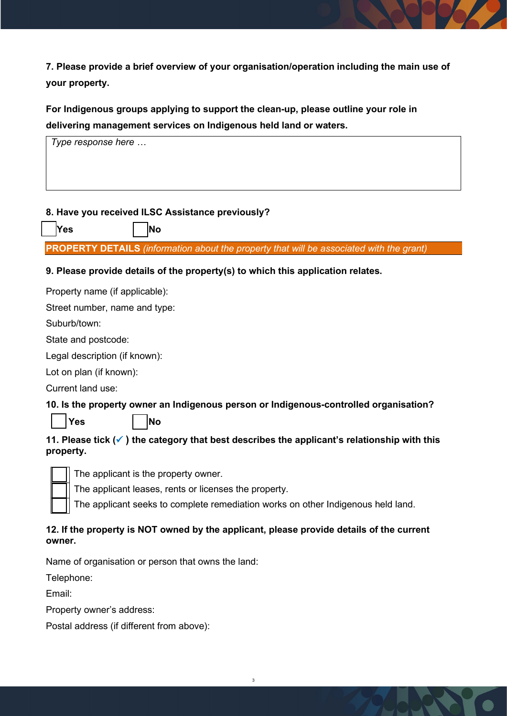**7. Please provide a brief overview of your organisation/operation including the main use of your property.**

**For Indigenous groups applying to support the clean-up, please outline your role in delivering management services on Indigenous held land or waters.** 



### **8. Have you received ILSC Assistance previously?**

☐ **Yes** ☐ **No**

**PROPERTY DETAILS** *(information about the property that will be associated with the grant)* 

### **9. Please provide details of the property(s) to which this application relates.**

Property name (if applicable):

Street number, name and type:

Suburb/town:

State and postcode:

Legal description (if known):

Lot on plan (if known):

Current land use:

### **10. Is the property owner an Indigenous person or Indigenous-controlled organisation?**



☐ **Yes** ☐ **No**

# **11. Please tick ( ) the category that best describes the applicant's relationship with this property.**



The applicant is the property owner.

The applicant leases, rents or licenses the property.

The applicant seeks to complete remediation works on other Indigenous held land.

### **12. If the property is NOT owned by the applicant, please provide details of the current owner.**

Name of organisation or person that owns the land:

Telephone:

Email:

Property owner's address:

Postal address (if different from above):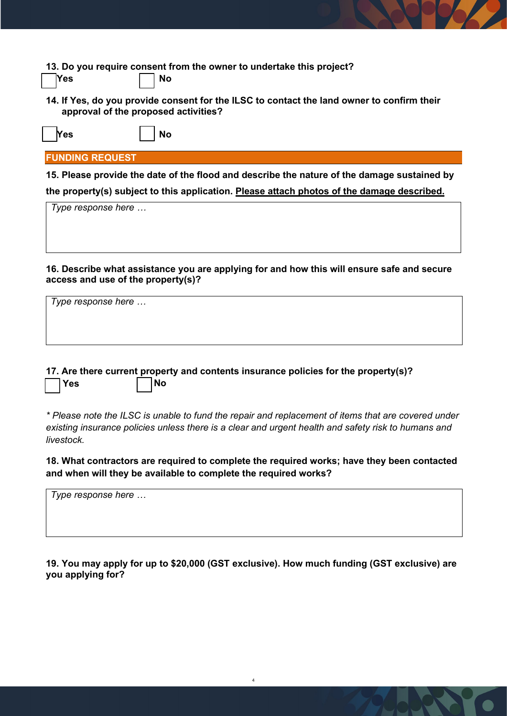**13. Do you require consent from the owner to undertake this project?**

|  | M |
|--|---|
|  |   |

**14. If Yes, do you provide consent for the ILSC to contact the land owner to confirm their approval of the proposed activities?**

| Yes | <b>No</b> |
|-----|-----------|
|-----|-----------|

### **FUNDING REQUEST**

☐ **Yes**

**15. Please provide the date of the flood and describe the nature of the damage sustained by the property(s) subject to this application. Please attach photos of the damage described.**

| Type response here |  |  |  |
|--------------------|--|--|--|
|                    |  |  |  |
|                    |  |  |  |
|                    |  |  |  |

**16. Describe what assistance you are applying for and how this will ensure safe and secure access and use of the property(s)?**

| Type response here |  |  |
|--------------------|--|--|
|                    |  |  |
|                    |  |  |
|                    |  |  |

**17. Are there current property and contents insurance policies for the property(s)?** ☐ **Yes** ☐ **No**

*\* Please note the ILSC is unable to fund the repair and replacement of items that are covered under existing insurance policies unless there is a clear and urgent health and safety risk to humans and livestock.*

**18. What contractors are required to complete the required works; have they been contacted and when will they be available to complete the required works?**

*Type response here …*

**19. You may apply for up to \$20,000 (GST exclusive). How much funding (GST exclusive) are you applying for?**

4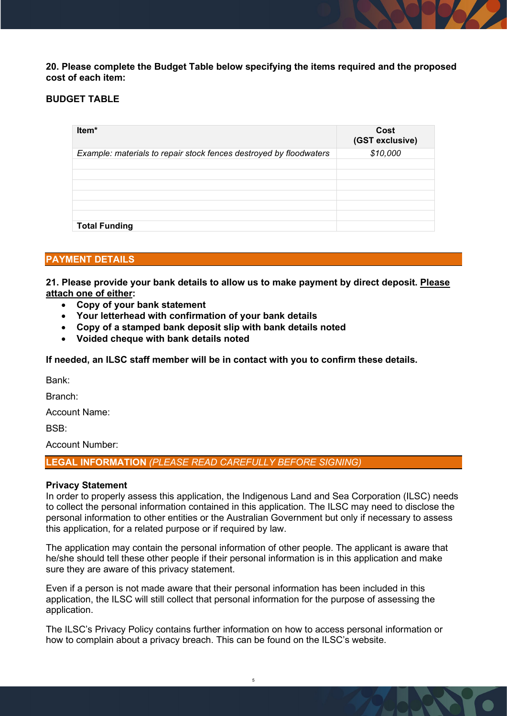**20. Please complete the Budget Table below specifying the items required and the proposed cost of each item:**

### **BUDGET TABLE**

| Item*                                                              | Cost<br>(GST exclusive) |
|--------------------------------------------------------------------|-------------------------|
| Example: materials to repair stock fences destroyed by floodwaters | \$10,000                |
|                                                                    |                         |
|                                                                    |                         |
|                                                                    |                         |
|                                                                    |                         |
|                                                                    |                         |
|                                                                    |                         |
| <b>Total Funding</b>                                               |                         |

### **PAYMENT DETAILS**

**21. Please provide your bank details to allow us to make payment by direct deposit. Please attach one of either:**

- **Copy of your bank statement**
- **Your letterhead with confirmation of your bank details**
- **Copy of a stamped bank deposit slip with bank details noted**
- **Voided cheque with bank details noted**

**If needed, an ILSC staff member will be in contact with you to confirm these details.** 

Bank:

Branch:

Account Name:

 $RSB$ 

Account Number:

**LEGAL INFORMATION** *(PLEASE READ CAREFULLY BEFORE SIGNING)*

#### **Privacy Statement**

In order to properly assess this application, the Indigenous Land and Sea Corporation (ILSC) needs to collect the personal information contained in this application. The ILSC may need to disclose the personal information to other entities or the Australian Government but only if necessary to assess this application, for a related purpose or if required by law.

The application may contain the personal information of other people. The applicant is aware that he/she should tell these other people if their personal information is in this application and make sure they are aware of this privacy statement.

Even if a person is not made aware that their personal information has been included in this application, the ILSC will still collect that personal information for the purpose of assessing the application.

The ILSC's Privacy Policy contains further information on how to access personal information or how to complain about a privacy breach. This can be found on the ILSC's website.